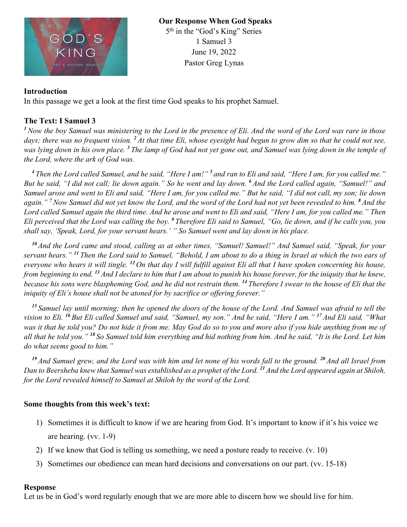

**Our Response When God Speaks** 5<sup>th</sup> in the "God's King" Series 1 Samuel 3 June 19, 2022 Pastor Greg Lynas

### **Introduction**

In this passage we get a look at the first time God speaks to his prophet Samuel.

## **The Text: I Samuel 3**

*<sup>1</sup>Now the boy Samuel was ministering to the Lord in the presence of Eli. And the word of the Lord was rare in those days; there was no frequent vision. <sup>2</sup> At that time Eli, whose eyesight had begun to grow dim so that he could not see, was lying down in his own place. <sup>3</sup> The lamp of God had not yet gone out, and Samuel was lying down in the temple of the Lord, where the ark of God was.* 

*<sup>4</sup> Then the Lord called Samuel, and he said, "Here I am!" <sup>5</sup> and ran to Eli and said, "Here I am, for you called me." But he said, "I did not call; lie down again." So he went and lay down. <sup>6</sup> And the Lord called again, "Samuel!" and Samuel arose and went to Eli and said, "Here I am, for you called me." But he said, "I did not call, my son; lie down again." <sup>7</sup>Now Samuel did not yet know the Lord, and the word of the Lord had not yet been revealed to him. <sup>8</sup> And the Lord called Samuel again the third time. And he arose and went to Eli and said, "Here I am, for you called me." Then Eli perceived that the Lord was calling the boy. <sup>9</sup> Therefore Eli said to Samuel, "Go, lie down, and if he calls you, you shall say, 'Speak, Lord, for your servant hears.' " So Samuel went and lay down in his place.* 

*<sup>10</sup> And the Lord came and stood, calling as at other times, "Samuel! Samuel!" And Samuel said, "Speak, for your servant hears." <sup>11</sup> Then the Lord said to Samuel, "Behold, I am about to do a thing in Israel at which the two ears of everyone who hears it will tingle. <sup>12</sup> On that day I will fulfill against Eli all that I have spoken concerning his house, from beginning to end. <sup>13</sup> And I declare to him that I am about to punish his house forever, for the iniquity that he knew, because his sons were blaspheming God, and he did not restrain them. <sup>14</sup> Therefore I swear to the house of Eli that the iniquity of Eli's house shall not be atoned for by sacrifice or offering forever."* 

*<sup>15</sup> Samuel lay until morning; then he opened the doors of the house of the Lord. And Samuel was afraid to tell the vision to Eli. <sup>16</sup> But Eli called Samuel and said, "Samuel, my son." And he said, "Here I am." <sup>17</sup> And Eli said, "What*  was it that he told you? Do not hide it from me. May God do so to you and more also if you hide anything from me of *all that he told you." <sup>18</sup> So Samuel told him everything and hid nothing from him. And he said, "It is the Lord. Let him do what seems good to him."* 

*<sup>19</sup> And Samuel grew, and the Lord was with him and let none of his words fall to the ground. <sup>20</sup> And all Israel from Dan to Beersheba knew that Samuel was established as a prophet of the Lord. <sup>21</sup> And the Lord appeared again at Shiloh, for the Lord revealed himself to Samuel at Shiloh by the word of the Lord.* 

#### **Some thoughts from this week's text:**

- 1) Sometimes it is difficult to know if we are hearing from God. It's important to know if it's his voice we are hearing. (vv. 1-9)
- 2) If we know that God is telling us something, we need a posture ready to receive. (v. 10)
- 3) Sometimes our obedience can mean hard decisions and conversations on our part. (vv. 15-18)

#### **Response**

Let us be in God's word regularly enough that we are more able to discern how we should live for him.